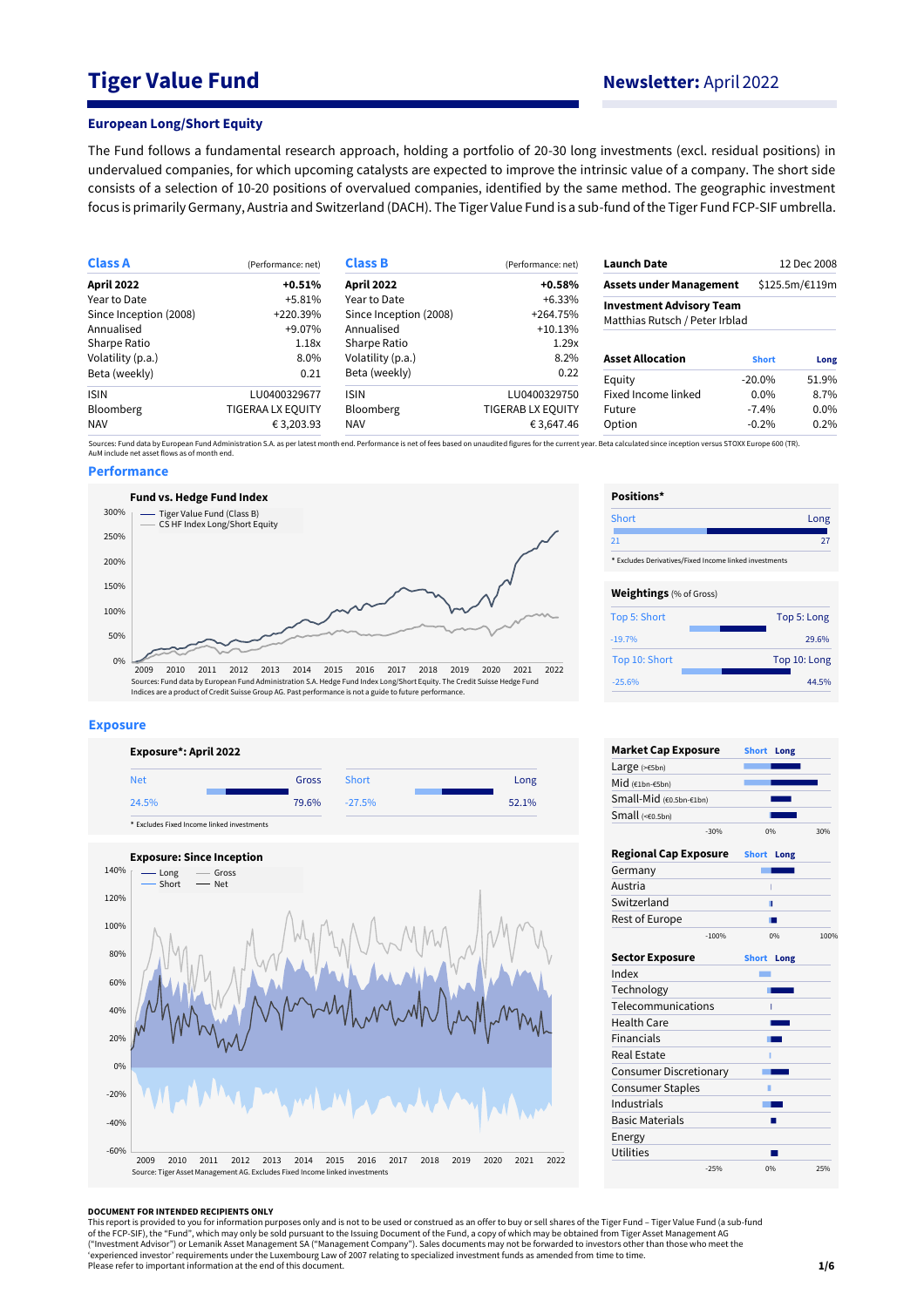# **Tiger Value Fund Newsletter:** April 2022

#### **European Long/Short Equity**

The Fund follows a fundamental research approach, holding a portfolio of 20-30 long investments (excl. residual positions) in undervalued companies, for which upcoming catalysts are expected to improve the intrinsic value of a company. The short side consists of a selection of 10-20 positions of overvalued companies, identified by the same method. The geographic investment focus is primarily Germany, Austria and Switzerland (DACH). The Tiger Value Fund is a sub-fund of the Tiger Fund FCP-SIF umbrella.

| <b>Class A</b>         | (Performance: net)       | <b>Class B</b><br>(Performance: net) |                          | <b>Launch Date</b>                                                |                | 12 Dec 2008 |  |
|------------------------|--------------------------|--------------------------------------|--------------------------|-------------------------------------------------------------------|----------------|-------------|--|
| April 2022             | $+0.51%$                 | <b>April 2022</b>                    | $+0.58%$                 | <b>Assets under Management</b>                                    | \$125.5m/€119m |             |  |
| Year to Date           | $+5.81%$                 | Year to Date                         | $+6.33\%$                |                                                                   |                |             |  |
| Since Inception (2008) | +220.39%                 | Since Inception (2008)               | +264.75%                 | <b>Investment Advisory Team</b><br>Matthias Rutsch / Peter Irblad |                |             |  |
| Annualised             | +9.07%                   | Annualised                           | $+10.13%$                |                                                                   |                |             |  |
| Sharpe Ratio           | 1.18x                    | Sharpe Ratio                         | 1.29x                    |                                                                   |                |             |  |
| Volatility (p.a.)      | 8.0%                     | Volatility (p.a.)                    | 8.2%                     | <b>Asset Allocation</b>                                           | <b>Short</b>   | Long        |  |
| Beta (weekly)          | 0.21                     | Beta (weekly)                        | 0.22                     | Equity                                                            | $-20.0\%$      | 51.9%       |  |
| <b>ISIN</b>            | LU0400329677             | <b>ISIN</b>                          | LU0400329750             | Fixed Income linked                                               | $0.0\%$        | 8.7%        |  |
| <b>Bloomberg</b>       | <b>TIGERAA LX EQUITY</b> | <b>Bloomberg</b>                     | <b>TIGERAB LX EQUITY</b> | Future                                                            | $-7.4%$        | 0.0%        |  |
| <b>NAV</b>             | € 3,203.93               | <b>NAV</b>                           | € 3,647.46               | Option                                                            | $-0.2%$        | 0.2%        |  |

Sources: Fund data by European Fund Administration S.A. as per latest month end. Performance is net of fees based on unaudited figures for the current year. Beta calculated since inception versus STOXX Europe 600 (TR).<br>AuM

#### **Performance**









| Positions*                     |                                                        |
|--------------------------------|--------------------------------------------------------|
| Short                          | Long                                                   |
| 21                             | 27                                                     |
|                                | * Excludes Derivatives/Fixed Income linked investments |
|                                |                                                        |
| <b>Weightings</b> (% of Gross) |                                                        |
| Top 5: Short                   | Top 5: Long                                            |
| $-19.7%$                       | 29.6%                                                  |
| Top 10: Short                  | Top 10: Long                                           |
| $-25.6%$                       | 44.5%                                                  |

| <b>Market Cap Exposure</b>    |         | <b>Short</b>      | Long               |      |
|-------------------------------|---------|-------------------|--------------------|------|
| Large $(>=5bn)$               |         |                   |                    |      |
| Mid (€1bn-€5bn)               |         |                   |                    |      |
| Small-Mid (€0.5bn-€1bn)       |         |                   |                    |      |
| Small $(60.5bn)$              |         |                   |                    |      |
|                               | $-30%$  |                   | 0%                 | 30%  |
| <b>Regional Cap Exposure</b>  |         | <b>Short</b>      | Long               |      |
| Germany                       |         |                   |                    |      |
| Austria                       |         |                   | ï                  |      |
| Switzerland                   |         |                   | п                  |      |
| Rest of Europe                |         |                   |                    |      |
|                               | $-100%$ |                   | 0%                 | 100% |
| <b>Sector Exposure</b>        |         | <b>Short Long</b> |                    |      |
| Index                         |         |                   |                    |      |
| Technology                    |         |                   |                    |      |
| Telecommunications            |         |                   | ī                  |      |
| <b>Health Care</b>            |         |                   | <b>The Company</b> |      |
| <b>Financials</b>             |         |                   |                    |      |
| Real Estate                   |         |                   |                    |      |
| <b>Consumer Discretionary</b> |         |                   |                    |      |
| <b>Consumer Staples</b>       |         | п                 |                    |      |
| Industrials                   |         |                   |                    |      |
| <b>Basic Materials</b>        |         |                   |                    |      |
| Energy                        |         |                   |                    |      |
| <b>Utilities</b>              |         |                   |                    |      |
|                               | $-25%$  |                   | 0%                 | 25%  |

#### **DOCUMENT FOR INTENDED RECIPIENTS ONLY**

This report is provided to you for information purposes only and is not to be used or construed as an offer to buy or sell shares of the Tiger Fund – Tiger Value Fund (a sub-fund<br>of the FCP-SIF), the "Fund", which may only ("Investment Advisor") or Lemanik Asset Management SA ("Management Company"). Sales documents may not be forwarded to investors other than those who meet the<br>'experienced investor' requirements under the Luxembourg Law of Please refer to important information at the end of this document.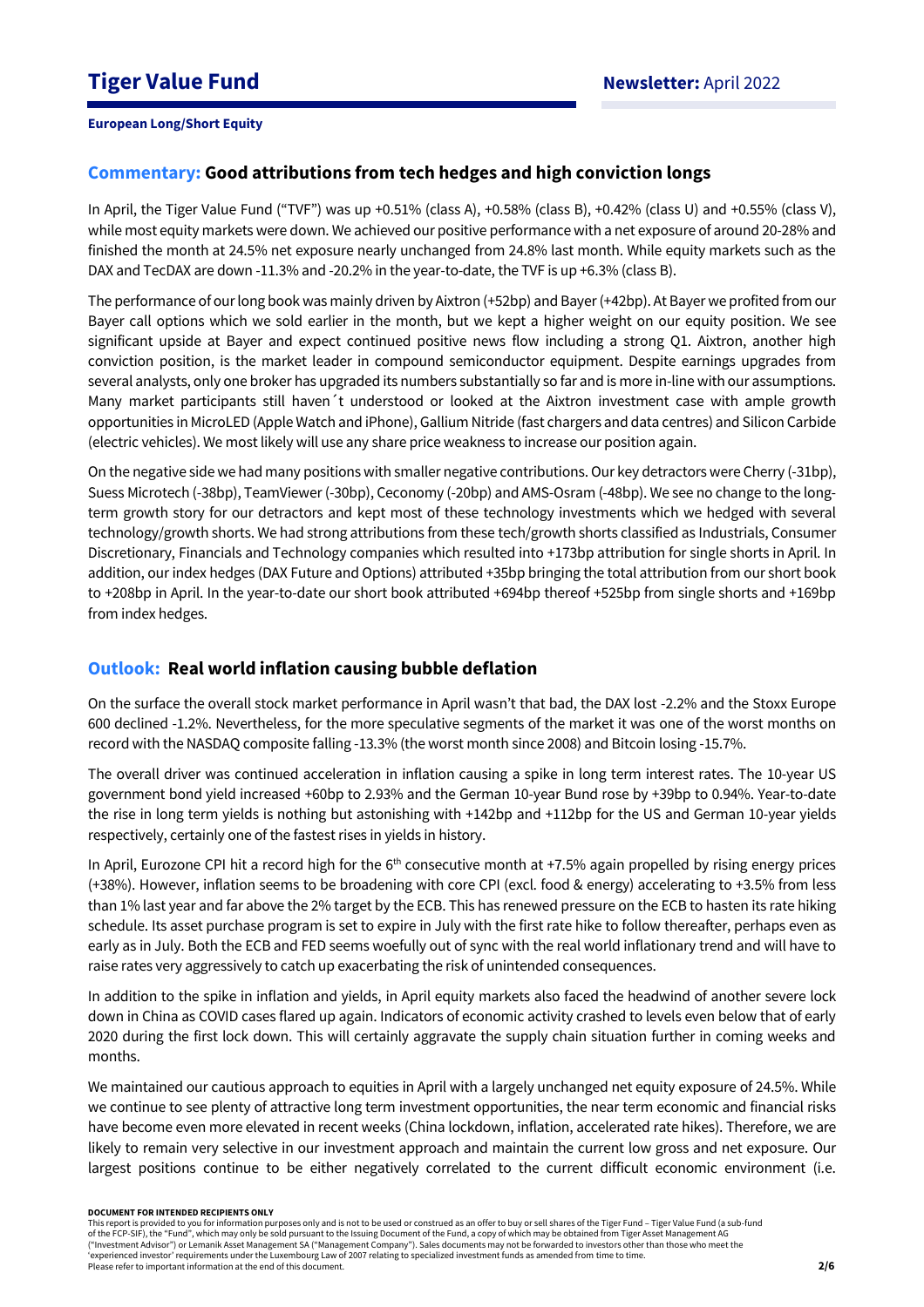# **Commentary: Good attributions from tech hedges and high conviction longs**

In April, the Tiger Value Fund ("TVF") was up +0.51% (class A), +0.58% (class B), +0.42% (class U) and +0.55% (class V), while most equity markets were down. We achieved our positive performance with a net exposure of around 20-28% and finished the month at 24.5% net exposure nearly unchanged from 24.8% last month. While equity markets such as the DAX and TecDAX are down -11.3% and -20.2% in the year-to-date, the TVF is up +6.3% (class B).

The performance of our long book was mainly driven by Aixtron (+52bp) and Bayer(+42bp). At Bayer we profited from our Bayer call options which we sold earlier in the month, but we kept a higher weight on our equity position. We see significant upside at Bayer and expect continued positive news flow including a strong Q1. Aixtron, another high conviction position, is the market leader in compound semiconductor equipment. Despite earnings upgrades from several analysts, only one broker has upgraded its numbers substantially so far and is more in-line with our assumptions. Many market participants still haven´t understood or looked at the Aixtron investment case with ample growth opportunities in MicroLED (Apple Watch and iPhone), Gallium Nitride (fast chargers and data centres) and Silicon Carbide (electric vehicles). We most likely will use any share price weakness to increase our position again.

On the negative side we had many positions with smaller negative contributions. Our key detractors were Cherry (-31bp), Suess Microtech (-38bp), TeamViewer (-30bp), Ceconomy (-20bp) and AMS-Osram (-48bp). We see no change to the longterm growth story for our detractors and kept most of these technology investments which we hedged with several technology/growth shorts. We had strong attributions from these tech/growth shorts classified as Industrials, Consumer Discretionary, Financials and Technology companies which resulted into +173bp attribution for single shorts in April. In addition, our index hedges (DAX Future and Options) attributed +35bp bringing the total attribution from our short book to +208bp in April. In the year-to-date our short book attributed +694bp thereof +525bp from single shorts and +169bp from index hedges.

# **Outlook: Real world inflation causing bubble deflation**

On the surface the overall stock market performance in April wasn't that bad, the DAX lost -2.2% and the Stoxx Europe 600 declined -1.2%. Nevertheless, for the more speculative segments of the market it was one of the worst months on record with the NASDAQ composite falling -13.3% (the worst month since 2008) and Bitcoin losing -15.7%.

The overall driver was continued acceleration in inflation causing a spike in long term interest rates. The 10-year US government bond yield increased +60bp to 2.93% and the German 10-year Bund rose by +39bp to 0.94%. Year-to-date the rise in long term yields is nothing but astonishing with +142bp and +112bp for the US and German 10-year yields respectively, certainly one of the fastest rises in yields in history.

In April, Eurozone CPI hit a record high for the  $6<sup>th</sup>$  consecutive month at +7.5% again propelled by rising energy prices (+38%). However, inflation seems to be broadening with core CPI (excl. food & energy) accelerating to +3.5% from less than 1% last year and far above the 2% target by the ECB. This has renewed pressure on the ECB to hasten its rate hiking schedule. Its asset purchase program is set to expire in July with the first rate hike to follow thereafter, perhaps even as early as in July. Both the ECB and FED seems woefully out of sync with the real world inflationary trend and will have to raise rates very aggressively to catch up exacerbating the risk of unintended consequences.

In addition to the spike in inflation and yields, in April equity markets also faced the headwind of another severe lock down in China as COVID cases flared up again. Indicators of economic activity crashed to levels even below that of early 2020 during the first lock down. This will certainly aggravate the supply chain situation further in coming weeks and months.

We maintained our cautious approach to equities in April with a largely unchanged net equity exposure of 24.5%. While we continue to see plenty of attractive long term investment opportunities, the near term economic and financial risks have become even more elevated in recent weeks (China lockdown, inflation, accelerated rate hikes). Therefore, we are likely to remain very selective in our investment approach and maintain the current low gross and net exposure. Our largest positions continue to be either negatively correlated to the current difficult economic environment (i.e.

#### **DOCUMENT FOR INTENDED RECIPIENTS ONLY**

This report is provided to you for information purposes only and is not to be used or construed as an offer to buy or sell shares of the Tiger Fund – Tiger Value Fund (a sub-fund of the FCP-SIF), the "Fund", which may only be sold pursuant to the Issuing Document of the Fund, a copy of which may be obtained from Tiger Asset Management AG ("Investment Advisor") or Lemanik Asset Management SA ("Management Company"). Sales documents may not be forwarded to investors other than those who meet the 'experienced investor' requirements under the Luxembourg Law of 2007 relating to specialized investment funds as amended from time to time. Please refer to important information at the end of this document.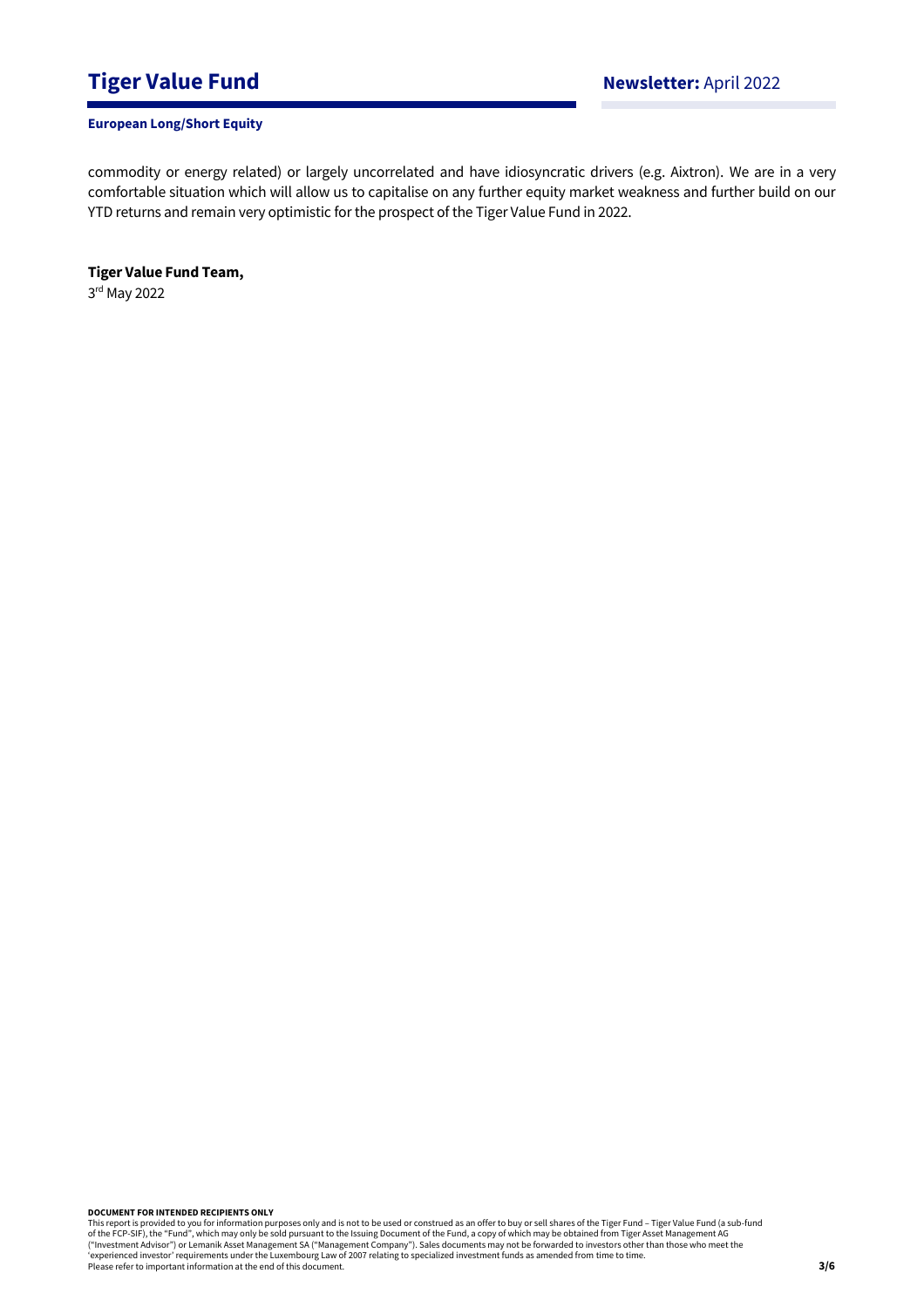# **Tiger Value Fund Newsletter:** April 2022

### **European Long/Short Equity**

commodity or energy related) or largely uncorrelated and have idiosyncratic drivers (e.g. Aixtron). We are in a very comfortable situation which will allow us to capitalise on any further equity market weakness and further build on our YTD returns and remain very optimistic for the prospect of the Tiger Value Fund in 2022.

**Tiger Value Fund Team,**  3 rd May 2022

**DOCUMENT FOR INTENDED RECIPIENTS ONLY**

This report is provided to you for information purposes only and is not to be used or construed as an offer to buy or sell shares of the Tiger Fund – Tiger Value Fund (a sub-fund<br>of the FCP-SIF), the "Fund", which may only ("Investment Advisor") or Lemanik Asset Management SA ("Management Company"). Sales documents may not be forwarded to investors other than those who meet the 'experienced investor' requirements under the Luxembourg Law of 2007 relating to specialized investment funds as amended from time to time. Please refer to important information at the end of this document.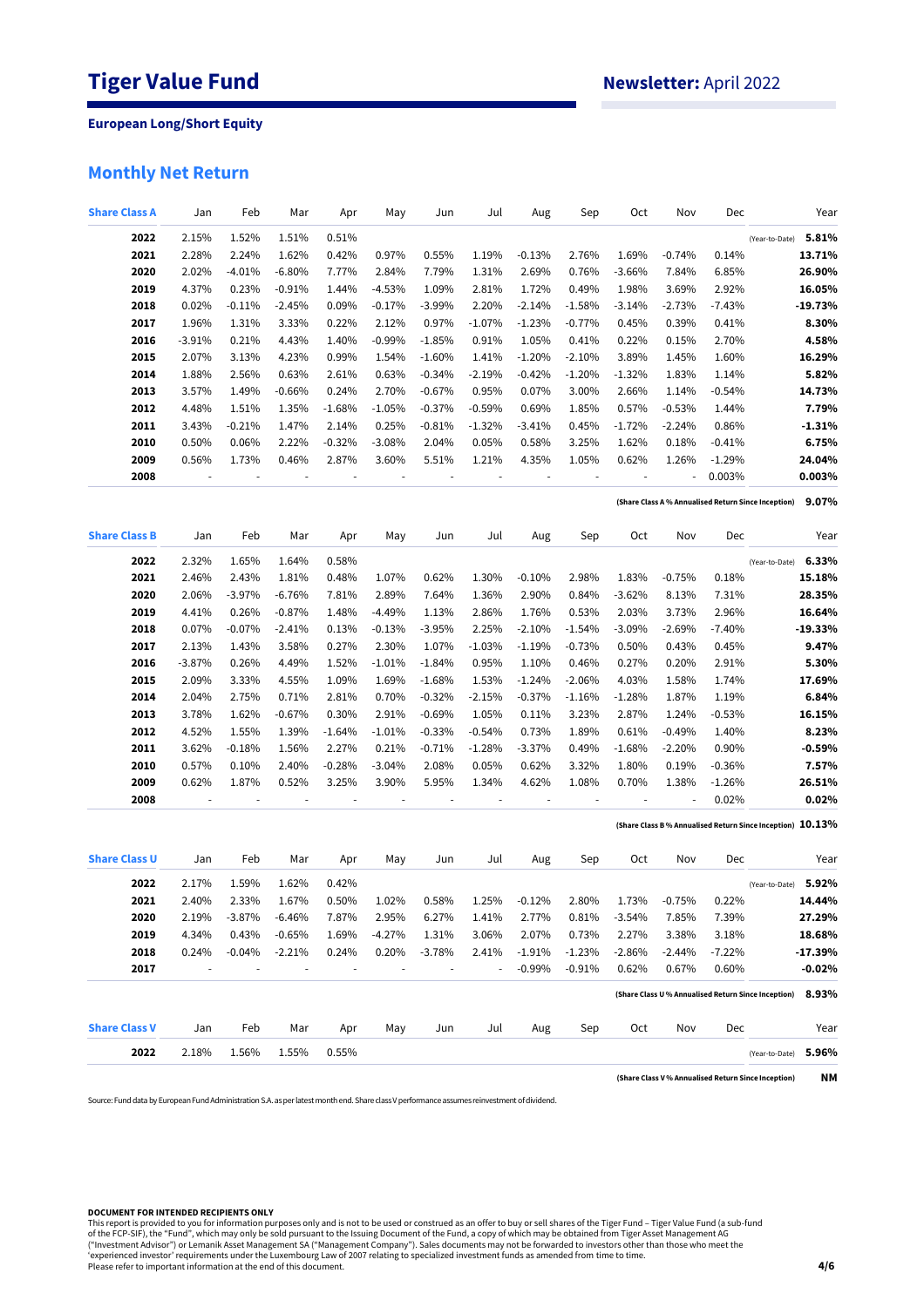# **Monthly Net Return**

| <b>Share Class A</b> | Jan      | Feb       | Mar       | Apr      | May      | Jun      | Jul      | Aug       | Sep            | Oct                      | Nov                                                 | Dec       |                                                               | Year      |
|----------------------|----------|-----------|-----------|----------|----------|----------|----------|-----------|----------------|--------------------------|-----------------------------------------------------|-----------|---------------------------------------------------------------|-----------|
| 2022                 | 2.15%    | 1.52%     | 1.51%     | 0.51%    |          |          |          |           |                |                          |                                                     |           | (Year-to-Date)                                                | 5.81%     |
| 2021                 | 2.28%    | 2.24%     | 1.62%     | 0.42%    | 0.97%    | 0.55%    | 1.19%    | $-0.13%$  | 2.76%          | 1.69%                    | $-0.74%$                                            | 0.14%     |                                                               | 13.71%    |
| 2020                 | 2.02%    | $-4.01%$  | $-6.80%$  | 7.77%    | 2.84%    | 7.79%    | 1.31%    | 2.69%     | 0.76%          | $-3.66%$                 | 7.84%                                               | 6.85%     |                                                               | 26.90%    |
| 2019                 | 4.37%    | 0.23%     | $-0.91%$  | 1.44%    | $-4.53%$ | 1.09%    | 2.81%    | 1.72%     | 0.49%          | 1.98%                    | 3.69%                                               | 2.92%     |                                                               | 16.05%    |
| 2018                 | 0.02%    | $-0.11%$  | $-2.45%$  | 0.09%    | $-0.17%$ | $-3.99%$ | 2.20%    | $-2.14%$  | $-1.58%$       | $-3.14%$                 | $-2.73%$                                            | $-7.43%$  |                                                               | -19.73%   |
| 2017                 | 1.96%    | 1.31%     | 3.33%     | 0.22%    | 2.12%    | 0.97%    | $-1.07%$ | $-1.23%$  | $-0.77%$       | 0.45%                    | 0.39%                                               | 0.41%     |                                                               | 8.30%     |
| 2016                 | $-3.91%$ | 0.21%     | 4.43%     | 1.40%    | $-0.99%$ | $-1.85%$ | 0.91%    | 1.05%     | 0.41%          | 0.22%                    | 0.15%                                               | 2.70%     |                                                               | 4.58%     |
| 2015                 | 2.07%    | 3.13%     | 4.23%     | 0.99%    | 1.54%    | $-1.60%$ | 1.41%    | $-1.20%$  | $-2.10%$       | 3.89%                    | 1.45%                                               | 1.60%     |                                                               | 16.29%    |
| 2014                 | 1.88%    | 2.56%     | 0.63%     | 2.61%    | 0.63%    | $-0.34%$ | $-2.19%$ | $-0.42%$  | $-1.20%$       | $-1.32%$                 | 1.83%                                               | 1.14%     |                                                               | 5.82%     |
| 2013                 | 3.57%    | 1.49%     | $-0.66\%$ | 0.24%    | 2.70%    | $-0.67%$ | 0.95%    | 0.07%     | 3.00%          | 2.66%                    | 1.14%                                               | $-0.54\%$ |                                                               | 14.73%    |
| 2012                 | 4.48%    | 1.51%     | 1.35%     | $-1.68%$ | $-1.05%$ | $-0.37%$ | $-0.59%$ | 0.69%     | 1.85%          | 0.57%                    | $-0.53%$                                            | 1.44%     |                                                               | 7.79%     |
| 2011                 | 3.43%    | $-0.21%$  | 1.47%     | 2.14%    | 0.25%    | $-0.81%$ | $-1.32%$ | $-3.41%$  | 0.45%          | $-1.72%$                 | $-2.24%$                                            | 0.86%     |                                                               | $-1.31%$  |
| 2010                 | 0.50%    | 0.06%     | 2.22%     | $-0.32%$ | $-3.08%$ | 2.04%    | 0.05%    | 0.58%     | 3.25%          | 1.62%                    | 0.18%                                               | $-0.41%$  |                                                               | 6.75%     |
| 2009                 | 0.56%    | 1.73%     | 0.46%     | 2.87%    | 3.60%    | 5.51%    | 1.21%    | 4.35%     | 1.05%          | 0.62%                    | 1.26%                                               | $-1.29%$  |                                                               | 24.04%    |
| 2008                 |          |           |           |          |          |          |          |           | $\overline{a}$ | $\overline{\phantom{a}}$ |                                                     | 0.003%    |                                                               | 0.003%    |
|                      |          |           |           |          |          |          |          |           |                |                          |                                                     |           |                                                               | 9.07%     |
|                      |          |           |           |          |          |          |          |           |                |                          |                                                     |           | (Share Class A % Annualised Return Since Inception)           |           |
| <b>Share Class B</b> | Jan      | Feb       | Mar       | Apr      | May      | Jun      | Jul      | Aug       | Sep            | Oct                      | Nov                                                 | Dec       |                                                               | Year      |
| 2022                 | 2.32%    | 1.65%     | 1.64%     | 0.58%    |          |          |          |           |                |                          |                                                     |           | (Year-to-Date)                                                | 6.33%     |
| 2021                 | 2.46%    | 2.43%     | 1.81%     | 0.48%    | 1.07%    | 0.62%    | 1.30%    | $-0.10%$  | 2.98%          | 1.83%                    | $-0.75%$                                            | 0.18%     |                                                               | 15.18%    |
| 2020                 | 2.06%    | $-3.97%$  | $-6.76%$  | 7.81%    | 2.89%    | 7.64%    | 1.36%    | 2.90%     | 0.84%          | $-3.62%$                 | 8.13%                                               | 7.31%     |                                                               | 28.35%    |
| 2019                 | 4.41%    | 0.26%     | $-0.87%$  | 1.48%    | $-4.49%$ | 1.13%    | 2.86%    | 1.76%     | 0.53%          | 2.03%                    | 3.73%                                               | 2.96%     |                                                               | 16.64%    |
| 2018                 | 0.07%    | $-0.07\%$ | $-2.41%$  | 0.13%    | $-0.13%$ | $-3.95%$ | 2.25%    | $-2.10%$  | $-1.54%$       | $-3.09%$                 | $-2.69%$                                            | $-7.40%$  |                                                               | $-19.33%$ |
| 2017                 | 2.13%    | 1.43%     | 3.58%     | 0.27%    | 2.30%    | 1.07%    | $-1.03%$ | $-1.19%$  | $-0.73%$       | 0.50%                    | 0.43%                                               | 0.45%     |                                                               | 9.47%     |
| 2016                 | $-3.87%$ | 0.26%     | 4.49%     | 1.52%    | $-1.01%$ | $-1.84%$ | 0.95%    | 1.10%     | 0.46%          | 0.27%                    | 0.20%                                               | 2.91%     |                                                               | 5.30%     |
| 2015                 | 2.09%    | 3.33%     | 4.55%     | 1.09%    | 1.69%    | $-1.68%$ | 1.53%    | $-1.24%$  | $-2.06%$       | 4.03%                    | 1.58%                                               | 1.74%     |                                                               | 17.69%    |
| 2014                 | 2.04%    | 2.75%     | 0.71%     | 2.81%    | 0.70%    | $-0.32%$ | $-2.15%$ | $-0.37%$  | $-1.16%$       | $-1.28%$                 | 1.87%                                               | 1.19%     |                                                               | 6.84%     |
| 2013                 | 3.78%    | 1.62%     | $-0.67%$  | 0.30%    | 2.91%    | $-0.69%$ | 1.05%    | 0.11%     | 3.23%          | 2.87%                    | 1.24%                                               | $-0.53%$  |                                                               | 16.15%    |
| 2012                 | 4.52%    | 1.55%     | 1.39%     | $-1.64%$ | $-1.01%$ | $-0.33%$ | $-0.54%$ | 0.73%     | 1.89%          | 0.61%                    | $-0.49%$                                            | 1.40%     |                                                               | 8.23%     |
| 2011                 | 3.62%    | $-0.18%$  | 1.56%     | 2.27%    | 0.21%    | $-0.71%$ | $-1.28%$ | $-3.37\%$ | 0.49%          | $-1.68%$                 | $-2.20%$                                            | 0.90%     |                                                               | $-0.59%$  |
| 2010                 | 0.57%    | 0.10%     | 2.40%     | $-0.28%$ | $-3.04%$ | 2.08%    | 0.05%    | 0.62%     | 3.32%          | 1.80%                    | 0.19%                                               | $-0.36%$  |                                                               | 7.57%     |
| 2009                 | 0.62%    | 1.87%     | 0.52%     | 3.25%    | 3.90%    | 5.95%    | 1.34%    | 4.62%     | 1.08%          | 0.70%                    | 1.38%                                               | $-1.26%$  |                                                               | 26.51%    |
| 2008                 |          |           |           |          |          |          |          |           |                |                          |                                                     | 0.02%     |                                                               | 0.02%     |
|                      |          |           |           |          |          |          |          |           |                |                          |                                                     |           | (Share Class B % Annualised Return Since Inception) $10.13\%$ |           |
|                      |          |           |           |          |          |          |          |           |                |                          |                                                     |           |                                                               |           |
| <b>Share Class U</b> | Jan      | Feb       | Mar       | Apr      | May      | Jun      | Jul      | Aug       | Sep            | Oct                      | Nov                                                 | Dec       |                                                               | Year      |
| 2022                 | 2.17%    | 1.59%     | 1.62%     | 0.42%    |          |          |          |           |                |                          |                                                     |           | (Year-to-Date)                                                | 5.92%     |
| 2021                 | 2.40%    | 2.33%     | 1.67%     | 0.50%    | 1.02%    | 0.58%    | 1.25%    | $-0.12%$  | 2.80%          | 1.73%                    | $-0.75%$                                            | 0.22%     |                                                               | 14.44%    |
| 2020                 | 2.19%    | $-3.87%$  | $-6.46%$  | 7.87%    | 2.95%    | 6.27%    | 1.41%    | 2.77%     | 0.81%          | $-3.54%$                 | 7.85%                                               | 7.39%     |                                                               | 27.29%    |
| 2019                 | 4.34%    | 0.43%     | $-0.65%$  | 1.69%    | $-4.27%$ | 1.31%    | 3.06%    | 2.07%     | 0.73%          | 2.27%                    | 3.38%                                               | 3.18%     |                                                               | 18.68%    |
| 2018                 | 0.24%    | $-0.04%$  | $-2.21%$  | 0.24%    | 0.20%    | $-3.78%$ | 2.41%    | $-1.91%$  | $-1.23%$       | $-2.86%$                 | -2.44%                                              | $-7.22%$  |                                                               | -17.39%   |
| 2017                 |          |           |           |          |          |          | i,       | $-0.99%$  | $-0.91%$       | 0.62%                    | 0.67%                                               | 0.60%     |                                                               | $-0.02%$  |
|                      |          |           |           |          |          |          |          |           |                |                          |                                                     |           | (Share Class U % Annualised Return Since Inception)           | 8.93%     |
| <b>Share Class V</b> | Jan      | Feb       | Mar       | Apr      | May      | Jun      | Jul      | Aug       | Sep            | Oct                      | Nov                                                 | Dec       |                                                               | Year      |
| 2022                 | 2.18%    | 1.56%     | 1.55%     | 0.55%    |          |          |          |           |                |                          |                                                     |           | (Year-to-Date)                                                | 5.96%     |
|                      |          |           |           |          |          |          |          |           |                |                          | (Share Class V % Annualised Return Since Inception) |           |                                                               | NΜ        |

Source: Fund data by European Fund Administration S.A. as per latest month end.Share classVperformance assumes reinvestment of dividend.

### **DOCUMENT FOR INTENDED RECIPIENTS ONLY**

This report is provided to you for information purposes only and is not to be used or construed as an offer to buy or sell shares of the Tiger Fund – Tiger Value Fund (a sub-fund<br>of the FCP-SIF), the "Fund", which may only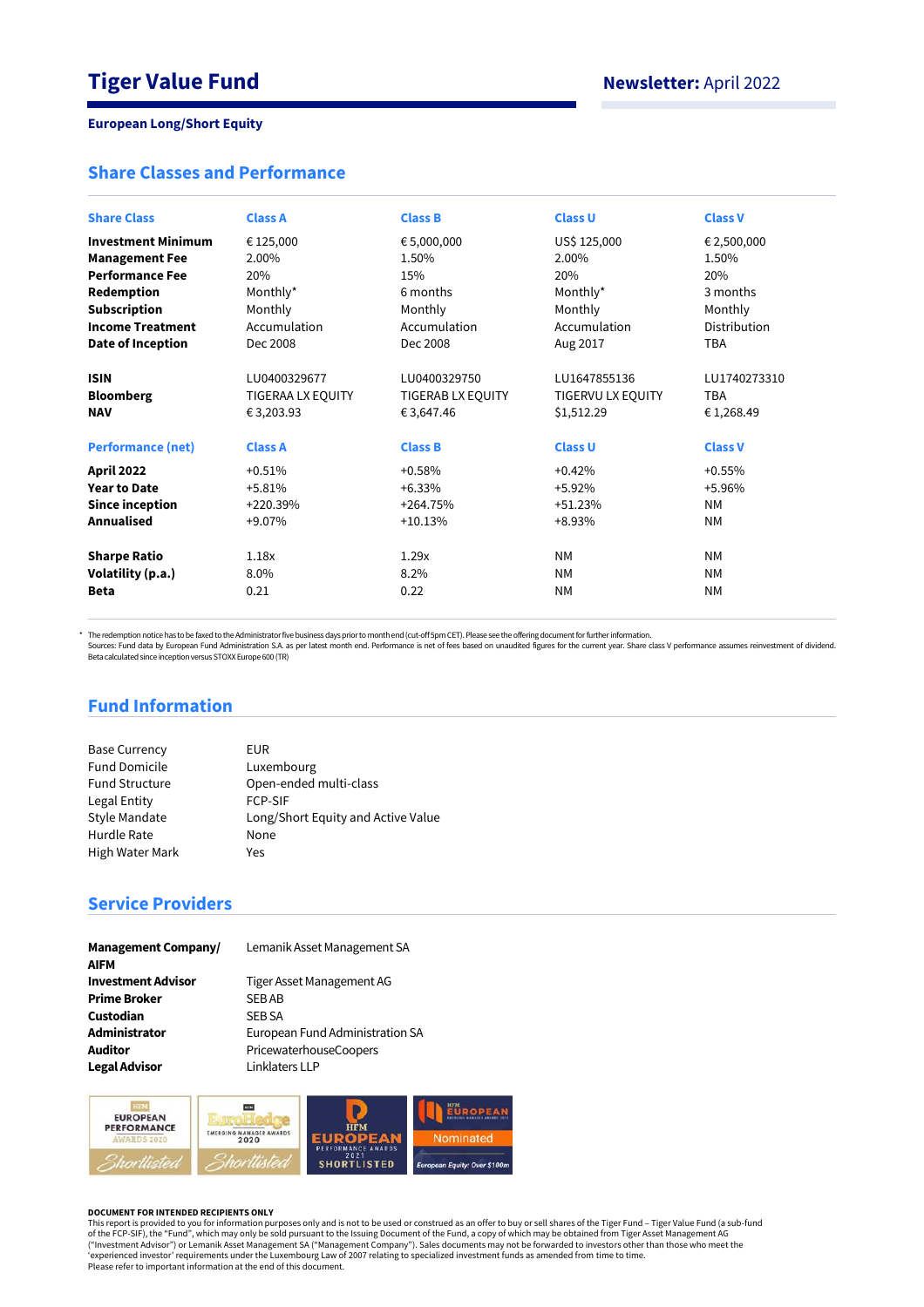## **Share Classes and Performance**

| <b>Share Class</b>        | <b>Class A</b>    | <b>Class B</b>    | <b>Class U</b>    | <b>Class V</b> |
|---------------------------|-------------------|-------------------|-------------------|----------------|
| <b>Investment Minimum</b> | € 125,000         | € 5,000,000       | US\$ 125,000      | € 2,500,000    |
| <b>Management Fee</b>     | 2.00%             | 1.50%             | 2.00%             | 1.50%          |
| <b>Performance Fee</b>    | 20%               | 15%               | 20%               | 20%            |
| Redemption                | Monthly*          | 6 months          | Monthly*          | 3 months       |
| <b>Subscription</b>       | Monthly           | Monthly           | Monthly           | Monthly        |
| <b>Income Treatment</b>   | Accumulation      | Accumulation      | Accumulation      | Distribution   |
| Date of Inception         | Dec 2008          | Dec 2008          | Aug 2017          | <b>TBA</b>     |
| <b>ISIN</b>               | LU0400329677      | LU0400329750      | LU1647855136      | LU1740273310   |
| <b>Bloomberg</b>          | TIGERAA LX EQUITY | TIGERAB LX EQUITY | TIGERVU LX EQUITY | <b>TBA</b>     |
| <b>NAV</b>                | € 3,203.93        | € 3,647.46        | \$1,512.29        | €1,268.49      |
| <b>Performance (net)</b>  | <b>Class A</b>    | <b>Class B</b>    | <b>Class U</b>    | <b>Class V</b> |
| <b>April 2022</b>         | $+0.51%$          | $+0.58%$          | $+0.42%$          | $+0.55%$       |
| <b>Year to Date</b>       | $+5.81%$          | $+6.33%$          | $+5.92%$          | +5.96%         |
| <b>Since inception</b>    | $+220.39%$        | $+264.75%$        | $+51.23%$         | <b>NM</b>      |
| <b>Annualised</b>         | +9.07%            | $+10.13%$         | $+8.93%$          | <b>NM</b>      |
| <b>Sharpe Ratio</b>       | 1.18x             | 1.29x             | <b>NM</b>         | <b>NM</b>      |
| Volatility (p.a.)         | $8.0\%$           | $8.2\%$           | <b>NM</b>         | <b>NM</b>      |
| <b>Beta</b>               | 0.21              | 0.22              | <b>NM</b>         | <b>NM</b>      |

\* The redemption notice has to be faxed to the Administrator five business days prior to month end (cut-off 5pm CET). Please see the offering document for further information.

Sources: Fund data by European Fund Administration S.A. as per latest month end. Performance is net of fees based on unaudited figures for the current year. Share class V performance assumes reinvestment of dividend.<br>Beta

# **Fund Information**

| <b>Base Currency</b>  | EUR.                               |
|-----------------------|------------------------------------|
| <b>Fund Domicile</b>  | Luxembourg                         |
| <b>Fund Structure</b> | Open-ended multi-class             |
| Legal Entity          | <b>FCP-SIF</b>                     |
| <b>Style Mandate</b>  | Long/Short Equity and Active Value |
| Hurdle Rate           | None                               |
| High Water Mark       | Yes                                |

# **Service Providers**

| <b>Management Company/</b> |
|----------------------------|
| <b>AIFM</b>                |
| <b>Investment Advisor</b>  |
| <b>Prime Broker</b>        |
| Custodian                  |
| Administrator              |
| <b>Auditor</b>             |
| <b>Legal Advisor</b>       |

Lemanik Asset Management SA **Investment Advisor** Tiger Asset Management AG

**SEB AB SEB SA Administrator** European Fund Administration SA **Auditor** PricewaterhouseCoopers **Linklaters LLP** 



#### **DOCUMENT FOR INTENDED RECIPIENTS ONLY**

This report is provided to you for information purposes only and is not to be used or construed as an offer to buy or sell shares of the Tiger Fund – Tiger Value Fund (a sub-fund<br>of the FCP-SIF), the "Fund", which may only ("Investment Advisor") or Lemanik Asset Management SA ("Management Company"). Sales documents may not be forwarded to investors other than those who meet the<br>'experienced investor' requirements under the Luxembourg Law of